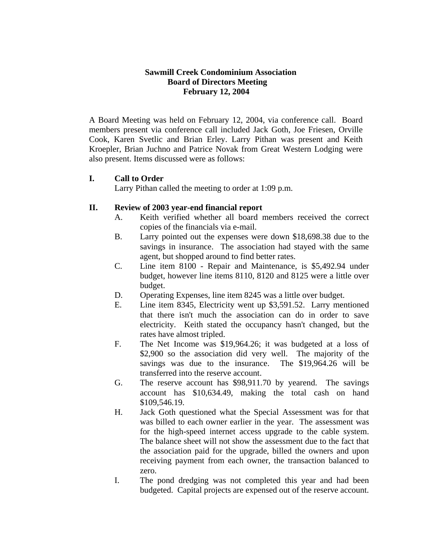## **Sawmill Creek Condominium Association Board of Directors Meeting February 12, 2004**

A Board Meeting was held on February 12, 2004, via conference call. Board members present via conference call included Jack Goth, Joe Friesen, Orville Cook, Karen Svetlic and Brian Erley. Larry Pithan was present and Keith Kroepler, Brian Juchno and Patrice Novak from Great Western Lodging were also present. Items discussed were as follows:

## **I. Call to Order**

Larry Pithan called the meeting to order at 1:09 p.m.

## **II. Review of 2003 year-end financial report**

- A. Keith verified whether all board members received the correct copies of the financials via e-mail.
- B. Larry pointed out the expenses were down \$18,698.38 due to the savings in insurance. The association had stayed with the same agent, but shopped around to find better rates.
- C. Line item 8100 Repair and Maintenance, is \$5,492.94 under budget, however line items 8110, 8120 and 8125 were a little over budget.
- D. Operating Expenses, line item 8245 was a little over budget.
- E. Line item 8345, Electricity went up \$3,591.52. Larry mentioned that there isn't much the association can do in order to save electricity. Keith stated the occupancy hasn't changed, but the rates have almost tripled.
- F. The Net Income was \$19,964.26; it was budgeted at a loss of \$2,900 so the association did very well. The majority of the savings was due to the insurance. The \$19,964.26 will be transferred into the reserve account.
- G. The reserve account has \$98,911.70 by yearend. The savings account has \$10,634.49, making the total cash on hand \$109,546.19.
- H. Jack Goth questioned what the Special Assessment was for that was billed to each owner earlier in the year. The assessment was for the high-speed internet access upgrade to the cable system. The balance sheet will not show the assessment due to the fact that the association paid for the upgrade, billed the owners and upon receiving payment from each owner, the transaction balanced to zero.
- I. The pond dredging was not completed this year and had been budgeted. Capital projects are expensed out of the reserve account.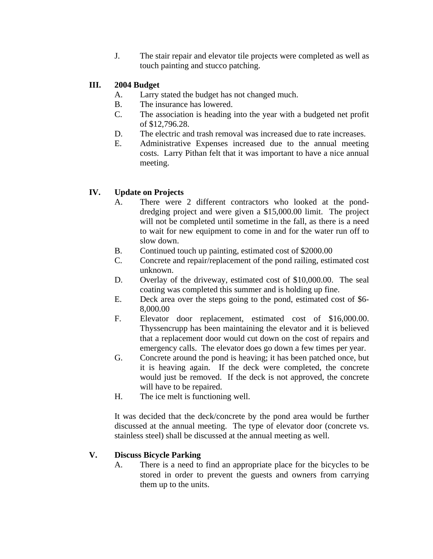J. The stair repair and elevator tile projects were completed as well as touch painting and stucco patching.

# **III. 2004 Budget**

- A. Larry stated the budget has not changed much.
- B. The insurance has lowered.
- C. The association is heading into the year with a budgeted net profit of \$12,796.28.
- D. The electric and trash removal was increased due to rate increases.
- E. Administrative Expenses increased due to the annual meeting costs. Larry Pithan felt that it was important to have a nice annual meeting.

# **IV. Update on Projects**

- A. There were 2 different contractors who looked at the ponddredging project and were given a \$15,000.00 limit. The project will not be completed until sometime in the fall, as there is a need to wait for new equipment to come in and for the water run off to slow down.
- B. Continued touch up painting, estimated cost of \$2000.00
- C. Concrete and repair/replacement of the pond railing, estimated cost unknown.
- D. Overlay of the driveway, estimated cost of \$10,000.00. The seal coating was completed this summer and is holding up fine.
- E. Deck area over the steps going to the pond, estimated cost of \$6- 8,000.00
- F. Elevator door replacement, estimated cost of \$16,000.00. Thyssencrupp has been maintaining the elevator and it is believed that a replacement door would cut down on the cost of repairs and emergency calls. The elevator does go down a few times per year.
- G. Concrete around the pond is heaving; it has been patched once, but it is heaving again. If the deck were completed, the concrete would just be removed. If the deck is not approved, the concrete will have to be repaired.
- H. The ice melt is functioning well.

It was decided that the deck/concrete by the pond area would be further discussed at the annual meeting. The type of elevator door (concrete vs. stainless steel) shall be discussed at the annual meeting as well.

# **V. Discuss Bicycle Parking**

A. There is a need to find an appropriate place for the bicycles to be stored in order to prevent the guests and owners from carrying them up to the units.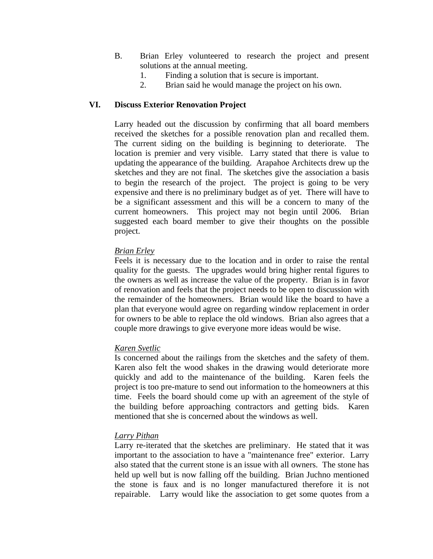- B. Brian Erley volunteered to research the project and present solutions at the annual meeting.
	- 1. Finding a solution that is secure is important.
	- 2. Brian said he would manage the project on his own.

## **VI. Discuss Exterior Renovation Project**

Larry headed out the discussion by confirming that all board members received the sketches for a possible renovation plan and recalled them. The current siding on the building is beginning to deteriorate. The location is premier and very visible. Larry stated that there is value to updating the appearance of the building. Arapahoe Architects drew up the sketches and they are not final. The sketches give the association a basis to begin the research of the project. The project is going to be very expensive and there is no preliminary budget as of yet. There will have to be a significant assessment and this will be a concern to many of the current homeowners. This project may not begin until 2006. Brian suggested each board member to give their thoughts on the possible project.

#### *Brian Erley*

Feels it is necessary due to the location and in order to raise the rental quality for the guests. The upgrades would bring higher rental figures to the owners as well as increase the value of the property. Brian is in favor of renovation and feels that the project needs to be open to discussion with the remainder of the homeowners. Brian would like the board to have a plan that everyone would agree on regarding window replacement in order for owners to be able to replace the old windows. Brian also agrees that a couple more drawings to give everyone more ideas would be wise.

#### *Karen Svetlic*

Is concerned about the railings from the sketches and the safety of them. Karen also felt the wood shakes in the drawing would deteriorate more quickly and add to the maintenance of the building. Karen feels the project is too pre-mature to send out information to the homeowners at this time. Feels the board should come up with an agreement of the style of the building before approaching contractors and getting bids. Karen mentioned that she is concerned about the windows as well.

#### *Larry Pithan*

Larry re-iterated that the sketches are preliminary. He stated that it was important to the association to have a "maintenance free" exterior. Larry also stated that the current stone is an issue with all owners. The stone has held up well but is now falling off the building. Brian Juchno mentioned the stone is faux and is no longer manufactured therefore it is not repairable. Larry would like the association to get some quotes from a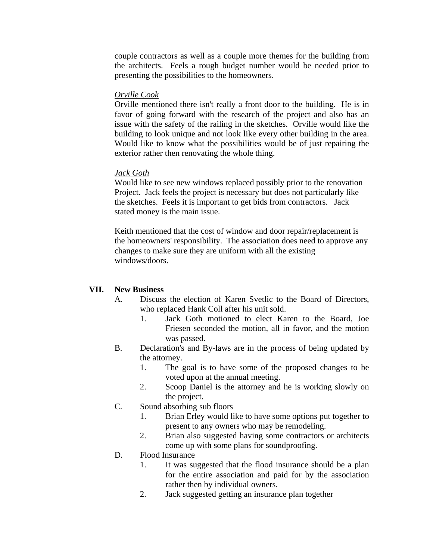couple contractors as well as a couple more themes for the building from the architects. Feels a rough budget number would be needed prior to presenting the possibilities to the homeowners.

#### *Orville Cook*

Orville mentioned there isn't really a front door to the building. He is in favor of going forward with the research of the project and also has an issue with the safety of the railing in the sketches. Orville would like the building to look unique and not look like every other building in the area. Would like to know what the possibilities would be of just repairing the exterior rather then renovating the whole thing.

### *Jack Goth*

Would like to see new windows replaced possibly prior to the renovation Project. Jack feels the project is necessary but does not particularly like the sketches. Feels it is important to get bids from contractors. Jack stated money is the main issue.

Keith mentioned that the cost of window and door repair/replacement is the homeowners' responsibility. The association does need to approve any changes to make sure they are uniform with all the existing windows/doors.

#### **VII. New Business**

- A. Discuss the election of Karen Svetlic to the Board of Directors, who replaced Hank Coll after his unit sold.
	- 1. Jack Goth motioned to elect Karen to the Board, Joe Friesen seconded the motion, all in favor, and the motion was passed.
- B. Declaration's and By-laws are in the process of being updated by the attorney.
	- 1. The goal is to have some of the proposed changes to be voted upon at the annual meeting.
	- 2. Scoop Daniel is the attorney and he is working slowly on the project.
- C. Sound absorbing sub floors
	- 1. Brian Erley would like to have some options put together to present to any owners who may be remodeling.
	- 2. Brian also suggested having some contractors or architects come up with some plans for soundproofing.

## D. Flood Insurance

- 1. It was suggested that the flood insurance should be a plan for the entire association and paid for by the association rather then by individual owners.
- 2. Jack suggested getting an insurance plan together